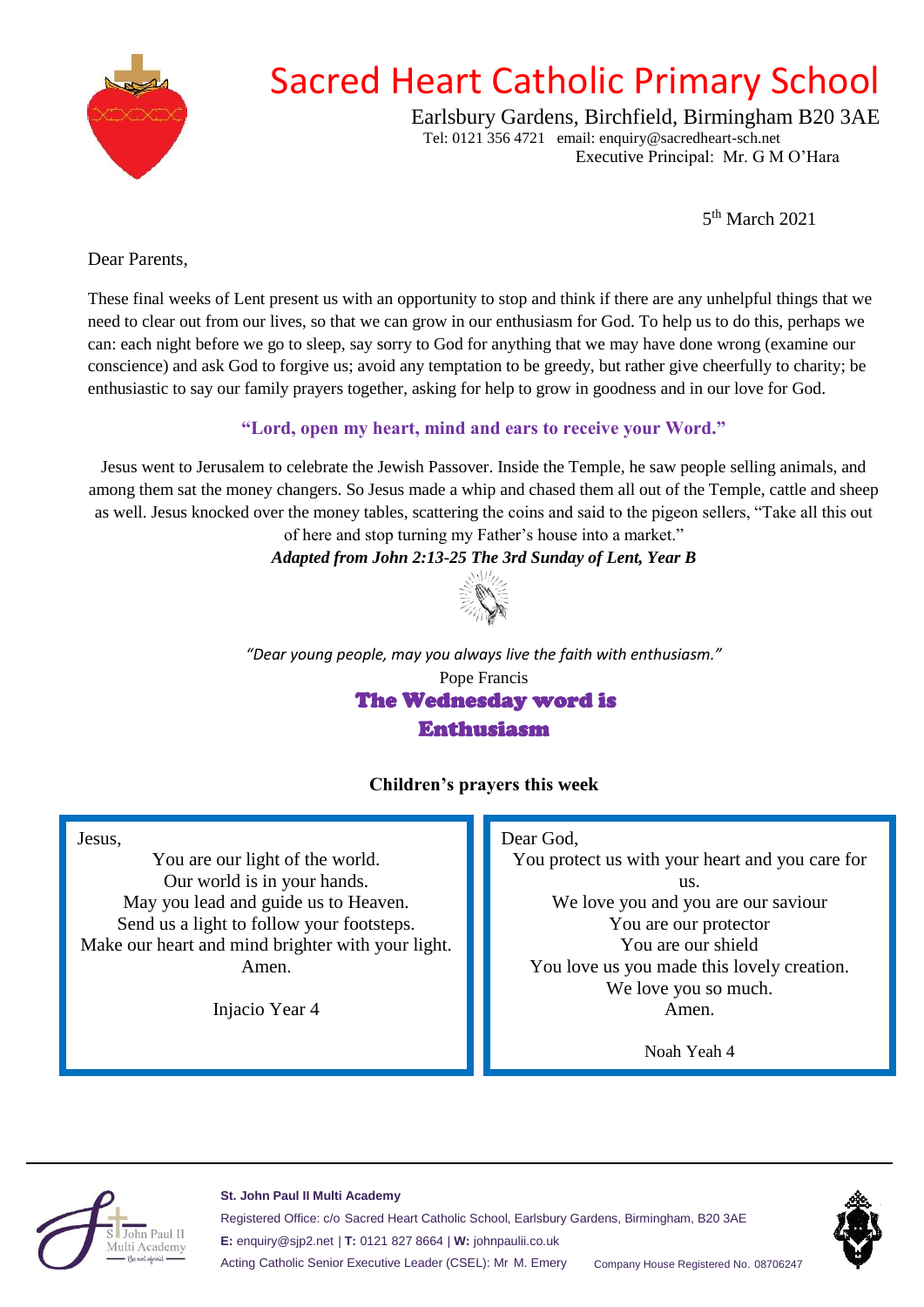

# Sacred Heart Catholic Primary School

Earlsbury Gardens, Birchfield, Birmingham B20 3AE Tel: 0121 356 4721 email: enquiry@sacredheart-sch.net

Executive Principal: Mr. G M O'Hara

5 th March 2021

<span id="page-0-0"></span>Dear Parents,

These final weeks of Lent present us with an opportunity to stop and think if there are any unhelpful things that we need to clear out from our lives, so that we can grow in our enthusiasm for God. To help us to do this, perhaps we can: each night before we go to sleep, say sorry to God for anything that we may have done wrong (examine our conscience) and ask God to forgive us; avoid any temptation to be greedy, but rather give cheerfully to charity; be enthusiastic to say our family prayers together, asking for help to grow in goodness and in our love for God.

# **"Lord, open my heart, mind and ears to receive your Word."**

Jesus went to Jerusalem to celebrate the Jewish Passover. Inside the Temple, he saw people selling animals, and among them sat the money changers. So Jesus made a whip and chased them all out of the Temple, cattle and sheep as well. Jesus knocked over the money tables, scattering the coins and said to the pigeon sellers, "Take all this out

of here and stop turning my Father's house into a market."

### *Adapted from John 2:13-25 The 3rd Sunday of Lent, Year B*



*"Dear young people, may you always live the faith with enthusiasm."* Pope Francis The Wednesday word is Enthusiasm

# **Children's prayers this week**

#### Jesus,

You are our light of the world. Our world is in your hands. May you lead and guide us to Heaven. Send us a light to follow your footsteps. Make our heart and mind brighter with your light. Amen.

Injacio Year 4

#### Dear God,

You protect us with your heart and you care for us. We love you and you are our saviour You are our protector You are our shield You love us you made this lovely creation. We love you so much. Amen.

Noah Yeah 4



#### **St. John Paul II Multi Academy**

Registered Office: c/o Sacred Heart Catholic School, Earlsbury Gardens, Birmingham, B20 3AE **E:** enquiry@sjp2.net | **T:** 0121 827 8664 | **W:** johnpaulii.co.uk Acting Catholic Senior Executive Leader (CSEL): Mr M. Emery Company House Registered No. 08706247

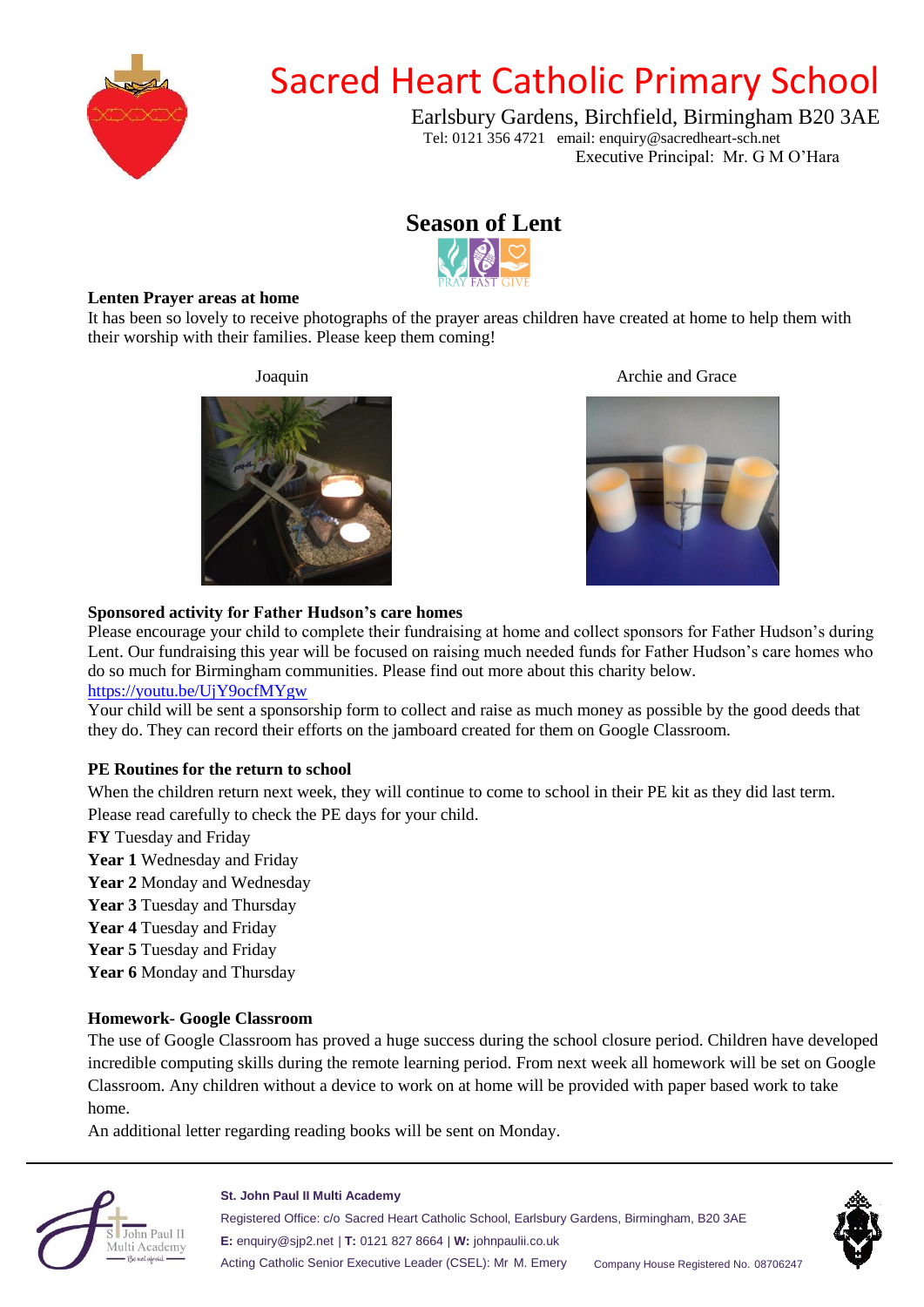

# Sacred Heart Catholic Primary School

Earlsbury Gardens, Birchfield, Birmingham B20 3AE Tel: 0121 356 4721 email: enquiry@sacredheart-sch.net

Executive Principal: Mr. G M O'Hara



#### **Lenten Prayer areas at home**

It has been so lovely to receive photographs of the prayer areas children have created at home to help them with their worship with their families. Please keep them coming!



#### Joaquin Archie and Grace



#### **Sponsored activity for Father Hudson's care homes**

Please encourage your child to complete their fundraising at home and collect sponsors for Father Hudson's during Lent. Our fundraising this year will be focused on raising much needed funds for Father Hudson's care homes who do so much for Birmingham communities. Please find out more about this charity below.

#### [https://youtu.be/UjY9ocfMYgw](#page-0-0)

Your child will be sent a sponsorship form to collect and raise as much money as possible by the good deeds that they do. They can record their efforts on the jamboard created for them on Google Classroom.

#### **PE Routines for the return to school**

When the children return next week, they will continue to come to school in their PE kit as they did last term. Please read carefully to check the PE days for your child.

**FY** Tuesday and Friday

**Year 1** Wednesday and Friday

- **Year 2** Monday and Wednesday
- **Year 3** Tuesday and Thursday
- **Year 4** Tuesday and Friday
- **Year 5** Tuesday and Friday
- **Year 6** Monday and Thursday

#### **Homework- Google Classroom**

The use of Google Classroom has proved a huge success during the school closure period. Children have developed incredible computing skills during the remote learning period. From next week all homework will be set on Google Classroom. Any children without a device to work on at home will be provided with paper based work to take home.

An additional letter regarding reading books will be sent on Monday.



#### **St. John Paul II Multi Academy**